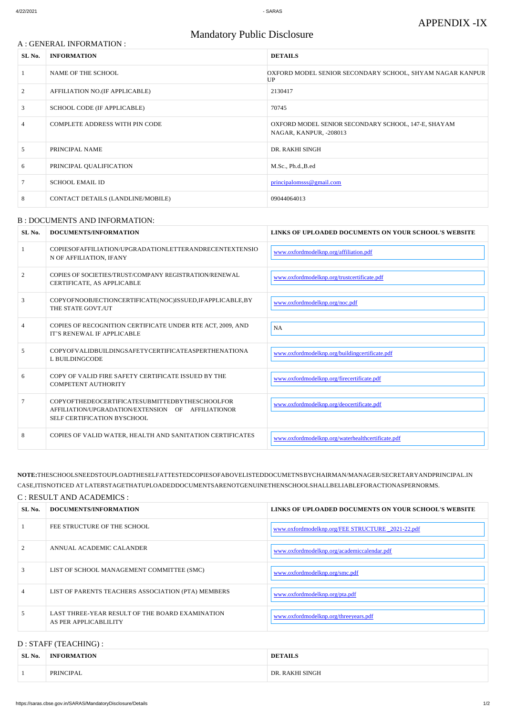### A : GENERAL INFORMATION :

# Mandatory Public Disclosure

| SL No.         | <b>INFORMATION</b>                    | <b>DETAILS</b>                                                                |
|----------------|---------------------------------------|-------------------------------------------------------------------------------|
|                | NAME OF THE SCHOOL                    | OXFORD MODEL SENIOR SECONDARY SCHOOL, SHYAM NAGAR KANPUR<br>UP                |
| 2              | AFFILIATION NO.(IF APPLICABLE)        | 2130417                                                                       |
| $\mathfrak{Z}$ | SCHOOL CODE (IF APPLICABLE)           | 70745                                                                         |
| $\overline{4}$ | <b>COMPLETE ADDRESS WITH PIN CODE</b> | OXFORD MODEL SENIOR SECONDARY SCHOOL, 147-E, SHAYAM<br>NAGAR, KANPUR, -208013 |
| 5              | PRINCIPAL NAME                        | DR. RAKHI SINGH                                                               |
| 6              | PRINCIPAL QUALIFICATION               | M.Sc., Ph.d., B.ed                                                            |
|                | <b>SCHOOL EMAIL ID</b>                | principalomss@gmail.com                                                       |
| 8              | CONTACT DETAILS (LANDLINE/MOBILE)     | 09044064013                                                                   |

#### B : DOCUMENTS AND INFORMATION:

| SL No.         | DOCUMENTS/INFORMATION                                                                                                               | LINKS OF UPLOADED DOCUMENTS ON YOUR SCHOOL'S WEBSITE |
|----------------|-------------------------------------------------------------------------------------------------------------------------------------|------------------------------------------------------|
| -1             | COPIESOFAFFILIATION/UPGRADATIONLETTERANDRECENTEXTENSIO<br>N OF AFFILIATION, IFANY                                                   | www.oxfordmodelknp.org/affiliation.pdf               |
| 2              | COPIES OF SOCIETIES/TRUST/COMPANY REGISTRATION/RENEWAL<br>CERTIFICATE, AS APPLICABLE                                                | www.oxfordmodelknp.org/trustcertificate.pdf          |
| 3              | COPYOFNOOBJECTIONCERTIFICATE(NOC)ISSUED, IFAPPLICABLE, BY<br>THE STATE GOVT./UT                                                     | www.oxfordmodelknp.org/noc.pdf                       |
| $\overline{4}$ | COPIES OF RECOGNITION CERTIFICATE UNDER RTE ACT, 2009, AND<br>IT'S RENEWAL IF APPLICABLE                                            | NA                                                   |
| 5              | COPYOFVALIDBUILDINGSAFETYCERTIFICATEASPERTHENATIONA<br>L BUILDINGCODE                                                               | www.oxfordmodelknp.org/buildingcertificate.pdf       |
| 6              | COPY OF VALID FIRE SAFETY CERTIFICATE ISSUED BY THE<br><b>COMPETENT AUTHORITY</b>                                                   | www.oxfordmodelknp.org/firecertificate.pdf           |
| 7              | COPYOFTHEDEOCERTIFICATESUBMITTEDBYTHESCHOOLFOR<br>AFFILIATION/UPGRADATION/EXTENSION OF AFFILIATIONOR<br>SELF CERTIFICATION BYSCHOOL | www.oxfordmodelknp.org/deocertificate.pdf            |
| 8              | COPIES OF VALID WATER, HEALTH AND SANITATION CERTIFICATES                                                                           | www.oxfordmodelknp.org/waterhealthcertificate.pdf    |

**NOTE:**THESCHOOLSNEEDSTOUPLOADTHESELFATTESTEDCOPIESOFABOVELISTEDDOCUMETNSBYCHAIRMAN/MANAGER/SECRETARYANDPRINCIPAL.IN CASE,ITISNOTICED AT LATERSTAGETHATUPLOADEDDOCUMENTSARENOTGENUINETHENSCHOOLSHALLBELIABLEFORACTIONASPERNORMS.

#### C : RESULT AND ACADEMICS :

| SL No. | DOCUMENTS/INFORMATION | LINKS OF UPLOADED DOCUMENTS ON YOUR SCHOOL'S WEBSITE |
|--------|-----------------------|------------------------------------------------------|
|        | FEE STRUCTURE OF THE  | w.oxfordmodelknp.org/FEE STRUCTURE                   |

| 2              | ANNUAL ACADEMIC CALANDER                                                 | www.oxfordmodelknp.org/academiccalendar.pdf |
|----------------|--------------------------------------------------------------------------|---------------------------------------------|
| 3              | LIST OF SCHOOL MANAGEMENT COMMITTEE (SMC)                                | www.oxfordmodelknp.org/smc.pdf              |
| $\overline{4}$ | LIST OF PARENTS TEACHERS ASSOCIATION (PTA) MEMBERS                       | www.oxfordmodelknp.org/pta.pdf              |
| 5              | LAST THREE-YEAR RESULT OF THE BOARD EXAMINATION<br>AS PER APPLICABLILITY | www.oxfordmodelknp.org/threeyears.pdf       |

## D : STAFF (TEACHING) :

| SL No. | <b>INFORMATION</b> | DETAIL S           |
|--------|--------------------|--------------------|
|        | PRINCIPAL          | <b>SINGH</b><br>DR |